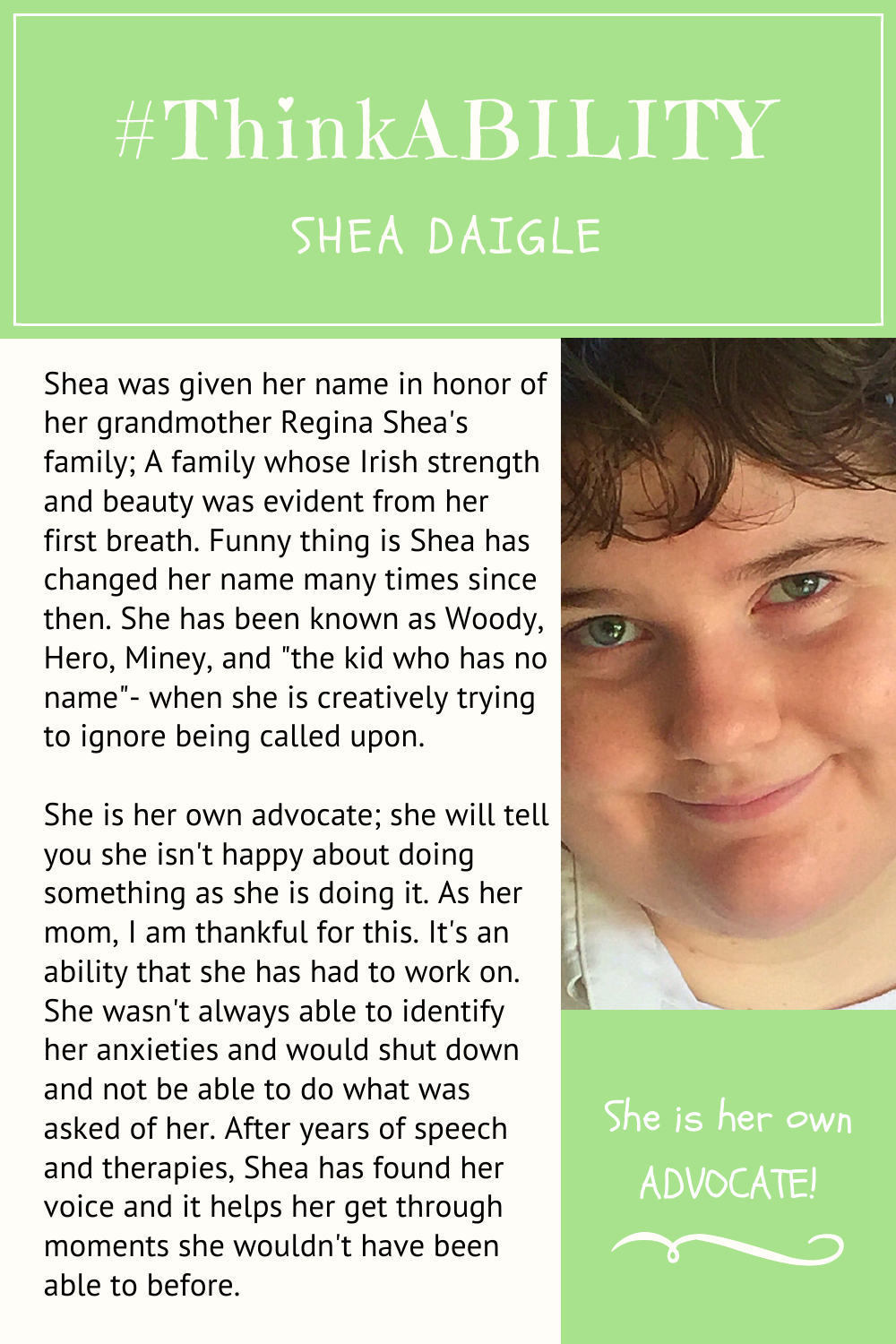## #ThinkABILITY SHEA DAIGLE

Shea was given her name in honor of her grandmother Regina Shea's family; A family whose Irish strength and beauty was evident from her first breath. Funny thing is Shea has changed her name many times since then. She has been known as Woody, Hero, Miney, and "the kid who has no name"- when she is creatively trying to ignore being called upon.

She is her own advocate; she will tell you she isn't happy about doing something as she is doing it. As her mom, I am thankful for this. It's an ability that she has had to work on. She wasn't always able to identify her anxieties and would shut down and not be able to do what was asked of her. After years of speech and therapies, Shea has found her voice and it helps her get through moments she wouldn't have been able to before.



She is her own ADVOCATE!